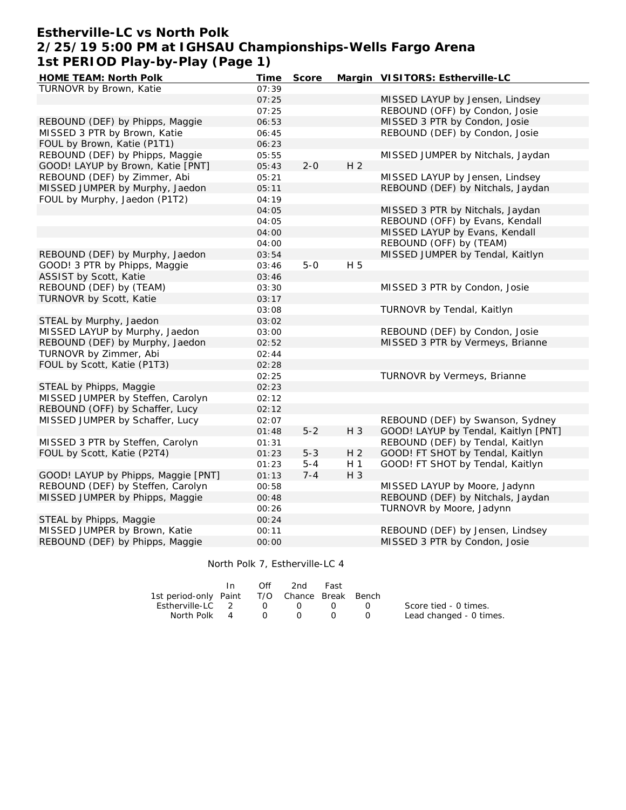## **Estherville-LC vs North Polk 2/25/19 5:00 PM at IGHSAU Championships-Wells Fargo Arena 1st PERIOD Play-by-Play (Page 1)**

| TURNOVR by Brown, Katie<br>07:39<br>MISSED LAYUP by Jensen, Lindsey<br>07:25<br>REBOUND (OFF) by Condon, Josie<br>07:25<br>MISSED 3 PTR by Condon, Josie<br>REBOUND (DEF) by Phipps, Maggie<br>06:53<br>MISSED 3 PTR by Brown, Katie<br>REBOUND (DEF) by Condon, Josie<br>06:45<br>FOUL by Brown, Katie (P1T1)<br>06:23<br>REBOUND (DEF) by Phipps, Maggie<br>MISSED JUMPER by Nitchals, Jaydan<br>05:55<br>H <sub>2</sub><br>$2 - 0$<br>GOOD! LAYUP by Brown, Katie [PNT]<br>05:43<br>REBOUND (DEF) by Zimmer, Abi<br>MISSED LAYUP by Jensen, Lindsey<br>05:21<br>MISSED JUMPER by Murphy, Jaedon<br>REBOUND (DEF) by Nitchals, Jaydan<br>05:11<br>FOUL by Murphy, Jaedon (P1T2)<br>04:19<br>04:05<br>MISSED 3 PTR by Nitchals, Jaydan<br>REBOUND (OFF) by Evans, Kendall<br>04:05<br>MISSED LAYUP by Evans, Kendall<br>04:00<br>REBOUND (OFF) by (TEAM)<br>04:00<br>MISSED JUMPER by Tendal, Kaitlyn<br>REBOUND (DEF) by Murphy, Jaedon<br>03:54<br>GOOD! 3 PTR by Phipps, Maggie<br>$5-0$<br>H 5<br>03:46<br>ASSIST by Scott, Katie<br>03:46<br>REBOUND (DEF) by (TEAM)<br>MISSED 3 PTR by Condon, Josie<br>03:30<br>TURNOVR by Scott, Katie<br>03:17<br>TURNOVR by Tendal, Kaitlyn<br>03:08<br>STEAL by Murphy, Jaedon<br>03:02<br>MISSED LAYUP by Murphy, Jaedon<br>REBOUND (DEF) by Condon, Josie<br>03:00<br>MISSED 3 PTR by Vermeys, Brianne<br>REBOUND (DEF) by Murphy, Jaedon<br>02:52<br>TURNOVR by Zimmer, Abi<br>02:44<br>FOUL by Scott, Katie (P1T3)<br>02:28<br>TURNOVR by Vermeys, Brianne<br>02:25<br>STEAL by Phipps, Maggie<br>02:23<br>MISSED JUMPER by Steffen, Carolyn<br>02:12<br>REBOUND (OFF) by Schaffer, Lucy<br>02:12<br>MISSED JUMPER by Schaffer, Lucy<br>REBOUND (DEF) by Swanson, Sydney<br>02:07<br>$5 - 2$<br>H 3<br>GOOD! LAYUP by Tendal, Kaitlyn [PNT]<br>01:48<br>MISSED 3 PTR by Steffen, Carolyn<br>REBOUND (DEF) by Tendal, Kaitlyn<br>01:31 |
|---------------------------------------------------------------------------------------------------------------------------------------------------------------------------------------------------------------------------------------------------------------------------------------------------------------------------------------------------------------------------------------------------------------------------------------------------------------------------------------------------------------------------------------------------------------------------------------------------------------------------------------------------------------------------------------------------------------------------------------------------------------------------------------------------------------------------------------------------------------------------------------------------------------------------------------------------------------------------------------------------------------------------------------------------------------------------------------------------------------------------------------------------------------------------------------------------------------------------------------------------------------------------------------------------------------------------------------------------------------------------------------------------------------------------------------------------------------------------------------------------------------------------------------------------------------------------------------------------------------------------------------------------------------------------------------------------------------------------------------------------------------------------------------------------------------------------------------------------------------------------------------|
|                                                                                                                                                                                                                                                                                                                                                                                                                                                                                                                                                                                                                                                                                                                                                                                                                                                                                                                                                                                                                                                                                                                                                                                                                                                                                                                                                                                                                                                                                                                                                                                                                                                                                                                                                                                                                                                                                       |
|                                                                                                                                                                                                                                                                                                                                                                                                                                                                                                                                                                                                                                                                                                                                                                                                                                                                                                                                                                                                                                                                                                                                                                                                                                                                                                                                                                                                                                                                                                                                                                                                                                                                                                                                                                                                                                                                                       |
|                                                                                                                                                                                                                                                                                                                                                                                                                                                                                                                                                                                                                                                                                                                                                                                                                                                                                                                                                                                                                                                                                                                                                                                                                                                                                                                                                                                                                                                                                                                                                                                                                                                                                                                                                                                                                                                                                       |
|                                                                                                                                                                                                                                                                                                                                                                                                                                                                                                                                                                                                                                                                                                                                                                                                                                                                                                                                                                                                                                                                                                                                                                                                                                                                                                                                                                                                                                                                                                                                                                                                                                                                                                                                                                                                                                                                                       |
|                                                                                                                                                                                                                                                                                                                                                                                                                                                                                                                                                                                                                                                                                                                                                                                                                                                                                                                                                                                                                                                                                                                                                                                                                                                                                                                                                                                                                                                                                                                                                                                                                                                                                                                                                                                                                                                                                       |
|                                                                                                                                                                                                                                                                                                                                                                                                                                                                                                                                                                                                                                                                                                                                                                                                                                                                                                                                                                                                                                                                                                                                                                                                                                                                                                                                                                                                                                                                                                                                                                                                                                                                                                                                                                                                                                                                                       |
|                                                                                                                                                                                                                                                                                                                                                                                                                                                                                                                                                                                                                                                                                                                                                                                                                                                                                                                                                                                                                                                                                                                                                                                                                                                                                                                                                                                                                                                                                                                                                                                                                                                                                                                                                                                                                                                                                       |
|                                                                                                                                                                                                                                                                                                                                                                                                                                                                                                                                                                                                                                                                                                                                                                                                                                                                                                                                                                                                                                                                                                                                                                                                                                                                                                                                                                                                                                                                                                                                                                                                                                                                                                                                                                                                                                                                                       |
|                                                                                                                                                                                                                                                                                                                                                                                                                                                                                                                                                                                                                                                                                                                                                                                                                                                                                                                                                                                                                                                                                                                                                                                                                                                                                                                                                                                                                                                                                                                                                                                                                                                                                                                                                                                                                                                                                       |
|                                                                                                                                                                                                                                                                                                                                                                                                                                                                                                                                                                                                                                                                                                                                                                                                                                                                                                                                                                                                                                                                                                                                                                                                                                                                                                                                                                                                                                                                                                                                                                                                                                                                                                                                                                                                                                                                                       |
|                                                                                                                                                                                                                                                                                                                                                                                                                                                                                                                                                                                                                                                                                                                                                                                                                                                                                                                                                                                                                                                                                                                                                                                                                                                                                                                                                                                                                                                                                                                                                                                                                                                                                                                                                                                                                                                                                       |
|                                                                                                                                                                                                                                                                                                                                                                                                                                                                                                                                                                                                                                                                                                                                                                                                                                                                                                                                                                                                                                                                                                                                                                                                                                                                                                                                                                                                                                                                                                                                                                                                                                                                                                                                                                                                                                                                                       |
|                                                                                                                                                                                                                                                                                                                                                                                                                                                                                                                                                                                                                                                                                                                                                                                                                                                                                                                                                                                                                                                                                                                                                                                                                                                                                                                                                                                                                                                                                                                                                                                                                                                                                                                                                                                                                                                                                       |
|                                                                                                                                                                                                                                                                                                                                                                                                                                                                                                                                                                                                                                                                                                                                                                                                                                                                                                                                                                                                                                                                                                                                                                                                                                                                                                                                                                                                                                                                                                                                                                                                                                                                                                                                                                                                                                                                                       |
|                                                                                                                                                                                                                                                                                                                                                                                                                                                                                                                                                                                                                                                                                                                                                                                                                                                                                                                                                                                                                                                                                                                                                                                                                                                                                                                                                                                                                                                                                                                                                                                                                                                                                                                                                                                                                                                                                       |
|                                                                                                                                                                                                                                                                                                                                                                                                                                                                                                                                                                                                                                                                                                                                                                                                                                                                                                                                                                                                                                                                                                                                                                                                                                                                                                                                                                                                                                                                                                                                                                                                                                                                                                                                                                                                                                                                                       |
|                                                                                                                                                                                                                                                                                                                                                                                                                                                                                                                                                                                                                                                                                                                                                                                                                                                                                                                                                                                                                                                                                                                                                                                                                                                                                                                                                                                                                                                                                                                                                                                                                                                                                                                                                                                                                                                                                       |
|                                                                                                                                                                                                                                                                                                                                                                                                                                                                                                                                                                                                                                                                                                                                                                                                                                                                                                                                                                                                                                                                                                                                                                                                                                                                                                                                                                                                                                                                                                                                                                                                                                                                                                                                                                                                                                                                                       |
|                                                                                                                                                                                                                                                                                                                                                                                                                                                                                                                                                                                                                                                                                                                                                                                                                                                                                                                                                                                                                                                                                                                                                                                                                                                                                                                                                                                                                                                                                                                                                                                                                                                                                                                                                                                                                                                                                       |
|                                                                                                                                                                                                                                                                                                                                                                                                                                                                                                                                                                                                                                                                                                                                                                                                                                                                                                                                                                                                                                                                                                                                                                                                                                                                                                                                                                                                                                                                                                                                                                                                                                                                                                                                                                                                                                                                                       |
|                                                                                                                                                                                                                                                                                                                                                                                                                                                                                                                                                                                                                                                                                                                                                                                                                                                                                                                                                                                                                                                                                                                                                                                                                                                                                                                                                                                                                                                                                                                                                                                                                                                                                                                                                                                                                                                                                       |
|                                                                                                                                                                                                                                                                                                                                                                                                                                                                                                                                                                                                                                                                                                                                                                                                                                                                                                                                                                                                                                                                                                                                                                                                                                                                                                                                                                                                                                                                                                                                                                                                                                                                                                                                                                                                                                                                                       |
|                                                                                                                                                                                                                                                                                                                                                                                                                                                                                                                                                                                                                                                                                                                                                                                                                                                                                                                                                                                                                                                                                                                                                                                                                                                                                                                                                                                                                                                                                                                                                                                                                                                                                                                                                                                                                                                                                       |
|                                                                                                                                                                                                                                                                                                                                                                                                                                                                                                                                                                                                                                                                                                                                                                                                                                                                                                                                                                                                                                                                                                                                                                                                                                                                                                                                                                                                                                                                                                                                                                                                                                                                                                                                                                                                                                                                                       |
|                                                                                                                                                                                                                                                                                                                                                                                                                                                                                                                                                                                                                                                                                                                                                                                                                                                                                                                                                                                                                                                                                                                                                                                                                                                                                                                                                                                                                                                                                                                                                                                                                                                                                                                                                                                                                                                                                       |
|                                                                                                                                                                                                                                                                                                                                                                                                                                                                                                                                                                                                                                                                                                                                                                                                                                                                                                                                                                                                                                                                                                                                                                                                                                                                                                                                                                                                                                                                                                                                                                                                                                                                                                                                                                                                                                                                                       |
|                                                                                                                                                                                                                                                                                                                                                                                                                                                                                                                                                                                                                                                                                                                                                                                                                                                                                                                                                                                                                                                                                                                                                                                                                                                                                                                                                                                                                                                                                                                                                                                                                                                                                                                                                                                                                                                                                       |
|                                                                                                                                                                                                                                                                                                                                                                                                                                                                                                                                                                                                                                                                                                                                                                                                                                                                                                                                                                                                                                                                                                                                                                                                                                                                                                                                                                                                                                                                                                                                                                                                                                                                                                                                                                                                                                                                                       |
|                                                                                                                                                                                                                                                                                                                                                                                                                                                                                                                                                                                                                                                                                                                                                                                                                                                                                                                                                                                                                                                                                                                                                                                                                                                                                                                                                                                                                                                                                                                                                                                                                                                                                                                                                                                                                                                                                       |
|                                                                                                                                                                                                                                                                                                                                                                                                                                                                                                                                                                                                                                                                                                                                                                                                                                                                                                                                                                                                                                                                                                                                                                                                                                                                                                                                                                                                                                                                                                                                                                                                                                                                                                                                                                                                                                                                                       |
|                                                                                                                                                                                                                                                                                                                                                                                                                                                                                                                                                                                                                                                                                                                                                                                                                                                                                                                                                                                                                                                                                                                                                                                                                                                                                                                                                                                                                                                                                                                                                                                                                                                                                                                                                                                                                                                                                       |
|                                                                                                                                                                                                                                                                                                                                                                                                                                                                                                                                                                                                                                                                                                                                                                                                                                                                                                                                                                                                                                                                                                                                                                                                                                                                                                                                                                                                                                                                                                                                                                                                                                                                                                                                                                                                                                                                                       |
|                                                                                                                                                                                                                                                                                                                                                                                                                                                                                                                                                                                                                                                                                                                                                                                                                                                                                                                                                                                                                                                                                                                                                                                                                                                                                                                                                                                                                                                                                                                                                                                                                                                                                                                                                                                                                                                                                       |
| $5 - 3$<br>H <sub>2</sub><br>GOOD! FT SHOT by Tendal, Kaitlyn<br>FOUL by Scott, Katie (P2T4)<br>01:23                                                                                                                                                                                                                                                                                                                                                                                                                                                                                                                                                                                                                                                                                                                                                                                                                                                                                                                                                                                                                                                                                                                                                                                                                                                                                                                                                                                                                                                                                                                                                                                                                                                                                                                                                                                 |
| $5 - 4$<br>H <sub>1</sub><br>GOOD! FT SHOT by Tendal, Kaitlyn<br>01:23                                                                                                                                                                                                                                                                                                                                                                                                                                                                                                                                                                                                                                                                                                                                                                                                                                                                                                                                                                                                                                                                                                                                                                                                                                                                                                                                                                                                                                                                                                                                                                                                                                                                                                                                                                                                                |
| H 3<br>GOOD! LAYUP by Phipps, Maggie [PNT]<br>01:13<br>$7 - 4$                                                                                                                                                                                                                                                                                                                                                                                                                                                                                                                                                                                                                                                                                                                                                                                                                                                                                                                                                                                                                                                                                                                                                                                                                                                                                                                                                                                                                                                                                                                                                                                                                                                                                                                                                                                                                        |
| REBOUND (DEF) by Steffen, Carolyn<br>MISSED LAYUP by Moore, Jadynn<br>00:58                                                                                                                                                                                                                                                                                                                                                                                                                                                                                                                                                                                                                                                                                                                                                                                                                                                                                                                                                                                                                                                                                                                                                                                                                                                                                                                                                                                                                                                                                                                                                                                                                                                                                                                                                                                                           |
|                                                                                                                                                                                                                                                                                                                                                                                                                                                                                                                                                                                                                                                                                                                                                                                                                                                                                                                                                                                                                                                                                                                                                                                                                                                                                                                                                                                                                                                                                                                                                                                                                                                                                                                                                                                                                                                                                       |
| MISSED JUMPER by Phipps, Maggie<br>REBOUND (DEF) by Nitchals, Jaydan<br>00:48                                                                                                                                                                                                                                                                                                                                                                                                                                                                                                                                                                                                                                                                                                                                                                                                                                                                                                                                                                                                                                                                                                                                                                                                                                                                                                                                                                                                                                                                                                                                                                                                                                                                                                                                                                                                         |
| TURNOVR by Moore, Jadynn<br>00:26                                                                                                                                                                                                                                                                                                                                                                                                                                                                                                                                                                                                                                                                                                                                                                                                                                                                                                                                                                                                                                                                                                                                                                                                                                                                                                                                                                                                                                                                                                                                                                                                                                                                                                                                                                                                                                                     |
| STEAL by Phipps, Maggie<br>00:24                                                                                                                                                                                                                                                                                                                                                                                                                                                                                                                                                                                                                                                                                                                                                                                                                                                                                                                                                                                                                                                                                                                                                                                                                                                                                                                                                                                                                                                                                                                                                                                                                                                                                                                                                                                                                                                      |
| MISSED JUMPER by Brown, Katie<br>REBOUND (DEF) by Jensen, Lindsey<br>00:11<br>REBOUND (DEF) by Phipps, Maggie<br>MISSED 3 PTR by Condon, Josie                                                                                                                                                                                                                                                                                                                                                                                                                                                                                                                                                                                                                                                                                                                                                                                                                                                                                                                                                                                                                                                                                                                                                                                                                                                                                                                                                                                                                                                                                                                                                                                                                                                                                                                                        |

North Polk 7, Estherville-LC 4

|                                              | Off              | 2nd              | Fast |                                               |                         |
|----------------------------------------------|------------------|------------------|------|-----------------------------------------------|-------------------------|
| 1st period-only Paint T/O Chance Break Bench |                  |                  |      |                                               |                         |
| Estherville-LC 2                             | $\left( \right)$ | $\cap$           |      | $\left( \begin{array}{c} \end{array} \right)$ | Score tied - 0 times.   |
| North Polk 4                                 | $\left( \right)$ | $\left( \right)$ |      |                                               | Lead changed - 0 times. |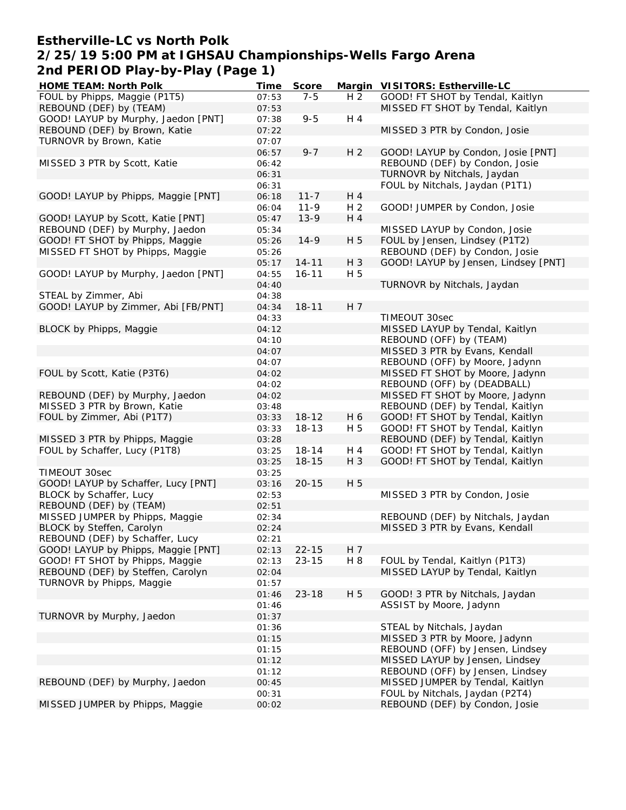## **Estherville-LC vs North Polk 2/25/19 5:00 PM at IGHSAU Championships-Wells Fargo Arena 2nd PERIOD Play-by-Play (Page 1)**

| HOME TEAM: North Polk               | Time           | Score     |                | Margin VISITORS: Estherville-LC                                     |
|-------------------------------------|----------------|-----------|----------------|---------------------------------------------------------------------|
| FOUL by Phipps, Maggie (P1T5)       | 07:53          | $7 - 5$   | H <sub>2</sub> | GOOD! FT SHOT by Tendal, Kaitlyn                                    |
| REBOUND (DEF) by (TEAM)             | 07:53          |           |                | MISSED FT SHOT by Tendal, Kaitlyn                                   |
| GOOD! LAYUP by Murphy, Jaedon [PNT] | 07:38          | $9 - 5$   | H 4            |                                                                     |
| REBOUND (DEF) by Brown, Katie       | 07:22          |           |                | MISSED 3 PTR by Condon, Josie                                       |
| TURNOVR by Brown, Katie             | 07:07          |           |                |                                                                     |
|                                     | 06:57          | $9 - 7$   | H <sub>2</sub> | GOOD! LAYUP by Condon, Josie [PNT]                                  |
| MISSED 3 PTR by Scott, Katie        | 06:42          |           |                | REBOUND (DEF) by Condon, Josie                                      |
|                                     | 06:31          |           |                | TURNOVR by Nitchals, Jaydan                                         |
|                                     | 06:31          |           |                | FOUL by Nitchals, Jaydan (P1T1)                                     |
| GOOD! LAYUP by Phipps, Maggie [PNT] | 06:18          | $11 - 7$  | H 4            |                                                                     |
|                                     | 06:04          | $11 - 9$  | H <sub>2</sub> | GOOD! JUMPER by Condon, Josie                                       |
| GOOD! LAYUP by Scott, Katie [PNT]   | 05:47          | $13-9$    | H 4            |                                                                     |
| REBOUND (DEF) by Murphy, Jaedon     | 05:34          |           |                | MISSED LAYUP by Condon, Josie                                       |
| GOOD! FT SHOT by Phipps, Maggie     | 05:26          | $14-9$    | H 5            | FOUL by Jensen, Lindsey (P1T2)                                      |
| MISSED FT SHOT by Phipps, Maggie    | 05:26          |           |                | REBOUND (DEF) by Condon, Josie                                      |
|                                     | 05:17          | $14 - 11$ | H 3            | GOOD! LAYUP by Jensen, Lindsey [PNT]                                |
| GOOD! LAYUP by Murphy, Jaedon [PNT] | 04:55          | $16 - 11$ | H 5            |                                                                     |
|                                     | 04:40          |           |                | TURNOVR by Nitchals, Jaydan                                         |
| STEAL by Zimmer, Abi                | 04:38          |           |                |                                                                     |
| GOOD! LAYUP by Zimmer, Abi [FB/PNT] | 04:34          | $18 - 11$ | H 7            |                                                                     |
|                                     | 04:33          |           |                | TIMEOUT 30sec                                                       |
| BLOCK by Phipps, Maggie             | 04:12          |           |                | MISSED LAYUP by Tendal, Kaitlyn                                     |
|                                     | 04:10          |           |                | REBOUND (OFF) by (TEAM)                                             |
|                                     | 04:07          |           |                | MISSED 3 PTR by Evans, Kendall                                      |
|                                     | 04:07          |           |                | REBOUND (OFF) by Moore, Jadynn                                      |
| FOUL by Scott, Katie (P3T6)         | 04:02          |           |                | MISSED FT SHOT by Moore, Jadynn                                     |
|                                     | 04:02          |           |                | REBOUND (OFF) by (DEADBALL)                                         |
| REBOUND (DEF) by Murphy, Jaedon     | 04:02          |           |                | MISSED FT SHOT by Moore, Jadynn                                     |
| MISSED 3 PTR by Brown, Katie        | 03:48          |           |                | REBOUND (DEF) by Tendal, Kaitlyn                                    |
| FOUL by Zimmer, Abi (P1T7)          | 03:33          | $18 - 12$ | H 6            | GOOD! FT SHOT by Tendal, Kaitlyn                                    |
|                                     | 03:33          | $18 - 13$ | H 5            | GOOD! FT SHOT by Tendal, Kaitlyn                                    |
| MISSED 3 PTR by Phipps, Maggie      | 03:28          |           |                | REBOUND (DEF) by Tendal, Kaitlyn                                    |
| FOUL by Schaffer, Lucy (P1T8)       | 03:25          | $18 - 14$ | H 4            | GOOD! FT SHOT by Tendal, Kaitlyn                                    |
|                                     | 03:25          | $18 - 15$ | $H_3$          | GOOD! FT SHOT by Tendal, Kaitlyn                                    |
| TIMEOUT 30sec                       | 03:25          |           |                |                                                                     |
| GOOD! LAYUP by Schaffer, Lucy [PNT] | 03:16          | $20 - 15$ | H 5            |                                                                     |
| BLOCK by Schaffer, Lucy             | 02:53          |           |                | MISSED 3 PTR by Condon, Josie                                       |
| REBOUND (DEF) by (TEAM)             | 02:51          |           |                |                                                                     |
| MISSED JUMPER by Phipps, Maggie     | 02:34          |           |                | REBOUND (DEF) by Nitchals, Jaydan                                   |
| BLOCK by Steffen, Carolyn           | 02:24          |           |                | MISSED 3 PTR by Evans, Kendall                                      |
| REBOUND (DEF) by Schaffer, Lucy     | 02:21          |           |                |                                                                     |
| GOOD! LAYUP by Phipps, Maggie [PNT] | 02:13          | $22 - 15$ | H 7            |                                                                     |
| GOOD! FT SHOT by Phipps, Maggie     | 02:13          | $23 - 15$ | H 8            | FOUL by Tendal, Kaitlyn (P1T3)                                      |
| REBOUND (DEF) by Steffen, Carolyn   | 02:04          |           |                | MISSED LAYUP by Tendal, Kaitlyn                                     |
| TURNOVR by Phipps, Maggie           | 01:57          |           |                |                                                                     |
|                                     | 01:46          | $23 - 18$ | H 5            | GOOD! 3 PTR by Nitchals, Jaydan                                     |
|                                     | 01:46          |           |                | ASSIST by Moore, Jadynn                                             |
|                                     |                |           |                |                                                                     |
| TURNOVR by Murphy, Jaedon           | 01:37<br>01:36 |           |                | STEAL by Nitchals, Jaydan                                           |
|                                     |                |           |                |                                                                     |
|                                     | 01:15          |           |                | MISSED 3 PTR by Moore, Jadynn                                       |
|                                     | 01:15          |           |                | REBOUND (OFF) by Jensen, Lindsey<br>MISSED LAYUP by Jensen, Lindsey |
|                                     | 01:12          |           |                | REBOUND (OFF) by Jensen, Lindsey                                    |
|                                     | 01:12          |           |                |                                                                     |
| REBOUND (DEF) by Murphy, Jaedon     | 00:45          |           |                | MISSED JUMPER by Tendal, Kaitlyn                                    |
|                                     | 00:31          |           |                | FOUL by Nitchals, Jaydan (P2T4)                                     |
| MISSED JUMPER by Phipps, Maggie     | 00:02          |           |                | REBOUND (DEF) by Condon, Josie                                      |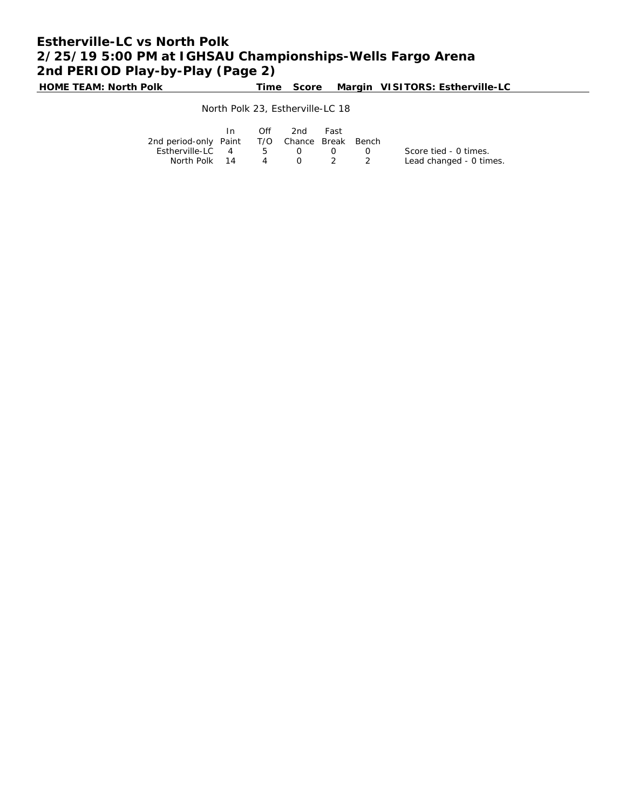# **Estherville-LC vs North Polk 2/25/19 5:00 PM at IGHSAU Championships-Wells Fargo Arena 2nd PERIOD Play-by-Play (Page 2)**

**HOME TEAM: North Polk Time Score Margin VISITORS: Estherville-LC**

### North Polk 23, Estherville-LC 18

|                                              | In. | Off          | 2nd       | Fast                          |                             |                         |
|----------------------------------------------|-----|--------------|-----------|-------------------------------|-----------------------------|-------------------------|
| 2nd period-only Paint T/O Chance Break Bench |     |              |           |                               |                             |                         |
| Estherville-LC 4                             |     | $5 \qquad 0$ |           | $\left( \right)$              | $\sim$ $\sim$ $\sim$ $\sim$ | Score tied - 0 times.   |
| North Polk 14                                |     | $\sim$ 4     | $\bigcap$ | $\overline{2}$ $\overline{2}$ |                             | Lead changed - 0 times. |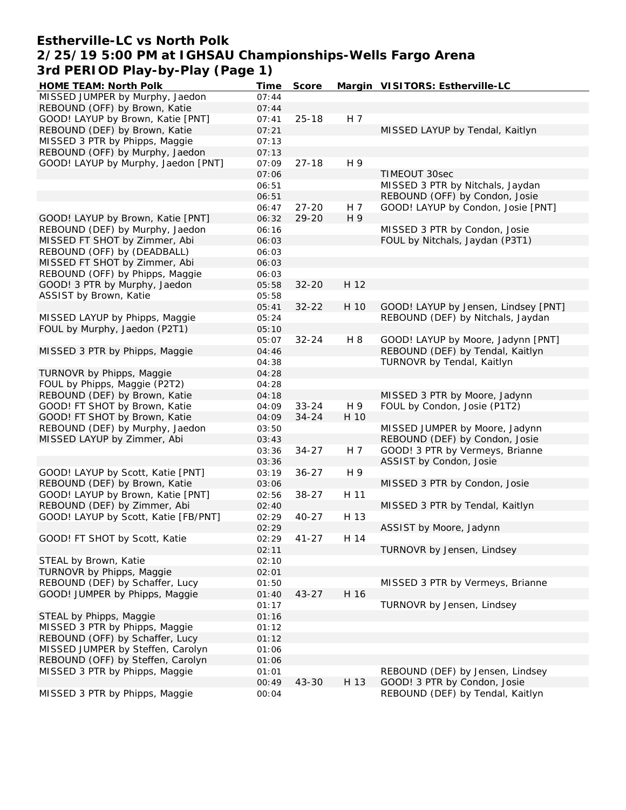### **Estherville-LC vs North Polk 2/25/19 5:00 PM at IGHSAU Championships-Wells Fargo Arena 3rd PERIOD Play-by-Play (Page 1)**

| HOME TEAM: North Polk                                              | Time           | Score              |            | Margin VISITORS: Estherville-LC                                      |
|--------------------------------------------------------------------|----------------|--------------------|------------|----------------------------------------------------------------------|
| MISSED JUMPER by Murphy, Jaedon                                    | 07:44          |                    |            |                                                                      |
| REBOUND (OFF) by Brown, Katie                                      | 07:44          |                    |            |                                                                      |
| GOOD! LAYUP by Brown, Katie [PNT]                                  | 07:41          | $25 - 18$          | H 7        |                                                                      |
| REBOUND (DEF) by Brown, Katie                                      | 07:21          |                    |            | MISSED LAYUP by Tendal, Kaitlyn                                      |
| MISSED 3 PTR by Phipps, Maggie                                     | 07:13          |                    |            |                                                                      |
| REBOUND (OFF) by Murphy, Jaedon                                    | 07:13          |                    |            |                                                                      |
| GOOD! LAYUP by Murphy, Jaedon [PNT]                                | 07:09          | $27 - 18$          | H 9        |                                                                      |
|                                                                    | 07:06          |                    |            | TIMEOUT 30sec                                                        |
|                                                                    | 06:51          |                    |            | MISSED 3 PTR by Nitchals, Jaydan                                     |
|                                                                    | 06:51          |                    |            | REBOUND (OFF) by Condon, Josie<br>GOOD! LAYUP by Condon, Josie [PNT] |
| GOOD! LAYUP by Brown, Katie [PNT]                                  | 06:47<br>06:32 | $27 - 20$<br>29-20 | H 7<br>H 9 |                                                                      |
| REBOUND (DEF) by Murphy, Jaedon                                    | 06:16          |                    |            | MISSED 3 PTR by Condon, Josie                                        |
| MISSED FT SHOT by Zimmer, Abi                                      | 06:03          |                    |            | FOUL by Nitchals, Jaydan (P3T1)                                      |
| REBOUND (OFF) by (DEADBALL)                                        | 06:03          |                    |            |                                                                      |
| MISSED FT SHOT by Zimmer, Abi                                      | 06:03          |                    |            |                                                                      |
| REBOUND (OFF) by Phipps, Maggie                                    | 06:03          |                    |            |                                                                      |
| GOOD! 3 PTR by Murphy, Jaedon                                      | 05:58          | $32 - 20$          | H 12       |                                                                      |
| ASSIST by Brown, Katie                                             | 05:58          |                    |            |                                                                      |
|                                                                    | 05:41          | $32 - 22$          | H 10       | GOOD! LAYUP by Jensen, Lindsey [PNT]                                 |
| MISSED LAYUP by Phipps, Maggie                                     | 05:24          |                    |            | REBOUND (DEF) by Nitchals, Jaydan                                    |
| FOUL by Murphy, Jaedon (P2T1)                                      | 05:10          |                    |            |                                                                      |
|                                                                    | 05:07          | $32 - 24$          | H 8        | GOOD! LAYUP by Moore, Jadynn [PNT]                                   |
| MISSED 3 PTR by Phipps, Maggie                                     | 04:46          |                    |            | REBOUND (DEF) by Tendal, Kaitlyn                                     |
|                                                                    | 04:38          |                    |            | TURNOVR by Tendal, Kaitlyn                                           |
| TURNOVR by Phipps, Maggie                                          | 04:28          |                    |            |                                                                      |
| FOUL by Phipps, Maggie (P2T2)                                      | 04:28          |                    |            |                                                                      |
| REBOUND (DEF) by Brown, Katie                                      | 04:18          |                    |            | MISSED 3 PTR by Moore, Jadynn                                        |
| GOOD! FT SHOT by Brown, Katie                                      | 04:09          | $33 - 24$          | H 9        | FOUL by Condon, Josie (P1T2)                                         |
| GOOD! FT SHOT by Brown, Katie                                      | 04:09          | $34 - 24$          | H 10       |                                                                      |
| REBOUND (DEF) by Murphy, Jaedon                                    | 03:50          |                    |            | MISSED JUMPER by Moore, Jadynn                                       |
| MISSED LAYUP by Zimmer, Abi                                        | 03:43          |                    |            | REBOUND (DEF) by Condon, Josie                                       |
|                                                                    | 03:36          | $34 - 27$          | H 7        | GOOD! 3 PTR by Vermeys, Brianne                                      |
|                                                                    | 03:36          |                    |            | ASSIST by Condon, Josie                                              |
| GOOD! LAYUP by Scott, Katie [PNT]                                  | 03:19          | $36 - 27$          | H 9        |                                                                      |
| REBOUND (DEF) by Brown, Katie<br>GOOD! LAYUP by Brown, Katie [PNT] | 03:06          | $38 - 27$          | H 11       | MISSED 3 PTR by Condon, Josie                                        |
| REBOUND (DEF) by Zimmer, Abi                                       | 02:56<br>02:40 |                    |            | MISSED 3 PTR by Tendal, Kaitlyn                                      |
| GOOD! LAYUP by Scott, Katie [FB/PNT]                               | 02:29          | $40 - 27$          | H 13       |                                                                      |
|                                                                    | 02:29          |                    |            | ASSIST by Moore, Jadynn                                              |
| GOOD! FT SHOT by Scott, Katie                                      | 02:29          | $41 - 27$          | H 14       |                                                                      |
|                                                                    | 02:11          |                    |            | TURNOVR by Jensen, Lindsey                                           |
| STEAL by Brown, Katie                                              | 02:10          |                    |            |                                                                      |
| TURNOVR by Phipps, Maggie                                          | 02:01          |                    |            |                                                                      |
| REBOUND (DEF) by Schaffer, Lucy                                    | 01:50          |                    |            | MISSED 3 PTR by Vermeys, Brianne                                     |
| GOOD! JUMPER by Phipps, Maggie                                     | 01:40          | $43 - 27$          | H 16       |                                                                      |
|                                                                    | 01:17          |                    |            | TURNOVR by Jensen, Lindsey                                           |
| STEAL by Phipps, Maggie                                            | 01:16          |                    |            |                                                                      |
| MISSED 3 PTR by Phipps, Maggie                                     | 01:12          |                    |            |                                                                      |
| REBOUND (OFF) by Schaffer, Lucy                                    | 01:12          |                    |            |                                                                      |
| MISSED JUMPER by Steffen, Carolyn                                  | 01:06          |                    |            |                                                                      |
| REBOUND (OFF) by Steffen, Carolyn                                  | 01:06          |                    |            |                                                                      |
| MISSED 3 PTR by Phipps, Maggie                                     | 01:01          |                    |            | REBOUND (DEF) by Jensen, Lindsey                                     |
|                                                                    | 00:49          | $43 - 30$          | H 13       | GOOD! 3 PTR by Condon, Josie                                         |
| MISSED 3 PTR by Phipps, Maggie                                     | 00:04          |                    |            | REBOUND (DEF) by Tendal, Kaitlyn                                     |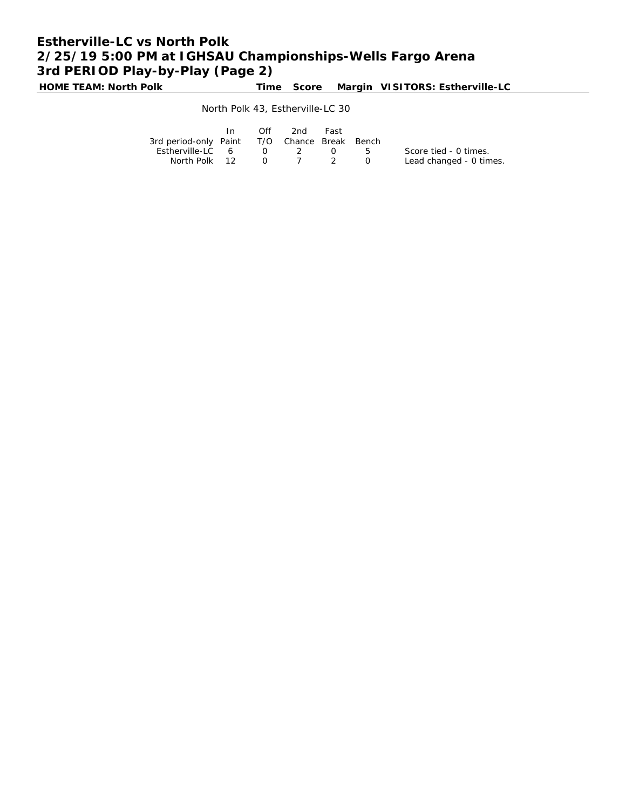# **Estherville-LC vs North Polk 2/25/19 5:00 PM at IGHSAU Championships-Wells Fargo Arena 3rd PERIOD Play-by-Play (Page 2)**

**HOME TEAM: North Polk Time Score Margin VISITORS: Estherville-LC**

#### North Polk 43, Estherville-LC 30

|                                              | $\mathsf{In}$ | Off | 2nd                            | Fast             |         |                         |
|----------------------------------------------|---------------|-----|--------------------------------|------------------|---------|-------------------------|
| 3rd period-only Paint T/O Chance Break Bench |               |     |                                |                  |         |                         |
| Estherville-LC 6 0 2                         |               |     |                                | $\left( \right)$ | $5 - 5$ | Score tied - 0 times.   |
| North Polk 12                                |               |     | $0 \qquad 7 \qquad 2 \qquad 0$ |                  |         | Lead changed - 0 times. |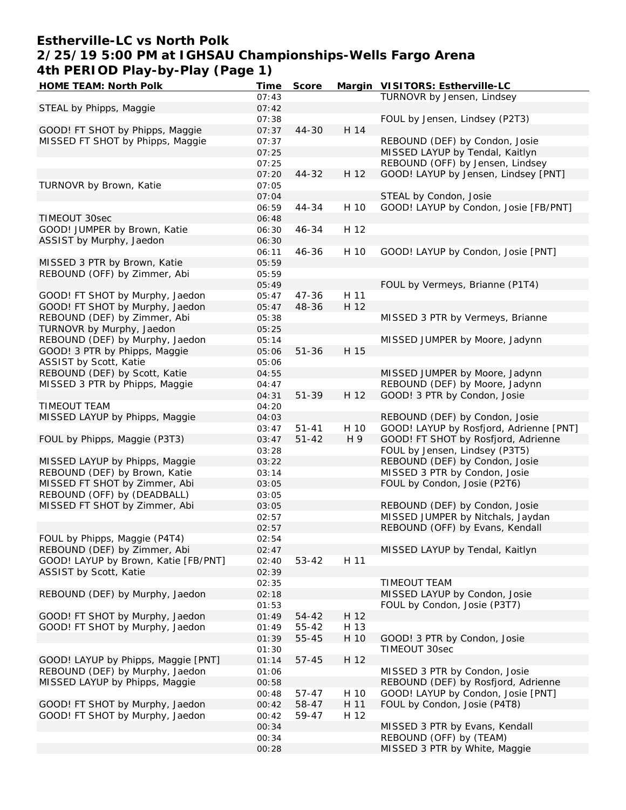## **Estherville-LC vs North Polk 2/25/19 5:00 PM at IGHSAU Championships-Wells Fargo Arena 4th PERIOD Play-by-Play (Page 1)**

| HOME TEAM: North Polk                | Time  | Score     |      | Margin VISITORS: Estherville-LC         |
|--------------------------------------|-------|-----------|------|-----------------------------------------|
|                                      | 07:43 |           |      | TURNOVR by Jensen, Lindsey              |
| STEAL by Phipps, Maggie              | 07:42 |           |      |                                         |
|                                      | 07:38 |           |      | FOUL by Jensen, Lindsey (P2T3)          |
| GOOD! FT SHOT by Phipps, Maggie      | 07:37 | 44-30     | H 14 |                                         |
| MISSED FT SHOT by Phipps, Maggie     | 07:37 |           |      | REBOUND (DEF) by Condon, Josie          |
|                                      | 07:25 |           |      | MISSED LAYUP by Tendal, Kaitlyn         |
|                                      |       |           |      |                                         |
|                                      | 07:25 |           |      | REBOUND (OFF) by Jensen, Lindsey        |
|                                      | 07:20 | 44-32     | H 12 | GOOD! LAYUP by Jensen, Lindsey [PNT]    |
| TURNOVR by Brown, Katie              | 07:05 |           |      |                                         |
|                                      | 07:04 |           |      | STEAL by Condon, Josie                  |
|                                      | 06:59 | 44-34     | H 10 | GOOD! LAYUP by Condon, Josie [FB/PNT]   |
| TIMEOUT 30sec                        | 06:48 |           |      |                                         |
| GOOD! JUMPER by Brown, Katie         | 06:30 | 46-34     | H 12 |                                         |
| ASSIST by Murphy, Jaedon             | 06:30 |           |      |                                         |
|                                      |       |           |      |                                         |
|                                      | 06:11 | 46-36     | H 10 | GOOD! LAYUP by Condon, Josie [PNT]      |
| MISSED 3 PTR by Brown, Katie         | 05:59 |           |      |                                         |
| REBOUND (OFF) by Zimmer, Abi         | 05:59 |           |      |                                         |
|                                      | 05:49 |           |      | FOUL by Vermeys, Brianne (P1T4)         |
| GOOD! FT SHOT by Murphy, Jaedon      | 05:47 | $47 - 36$ | H 11 |                                         |
| GOOD! FT SHOT by Murphy, Jaedon      | 05:47 | 48-36     | H 12 |                                         |
| REBOUND (DEF) by Zimmer, Abi         | 05:38 |           |      | MISSED 3 PTR by Vermeys, Brianne        |
| TURNOVR by Murphy, Jaedon            | 05:25 |           |      |                                         |
|                                      |       |           |      |                                         |
| REBOUND (DEF) by Murphy, Jaedon      | 05:14 |           |      | MISSED JUMPER by Moore, Jadynn          |
| GOOD! 3 PTR by Phipps, Maggie        | 05:06 | $51 - 36$ | H 15 |                                         |
| ASSIST by Scott, Katie               | 05:06 |           |      |                                         |
| REBOUND (DEF) by Scott, Katie        | 04:55 |           |      | MISSED JUMPER by Moore, Jadynn          |
| MISSED 3 PTR by Phipps, Maggie       | 04:47 |           |      | REBOUND (DEF) by Moore, Jadynn          |
|                                      | 04:31 | 51-39     | H 12 | GOOD! 3 PTR by Condon, Josie            |
| <b>TIMEOUT TEAM</b>                  | 04:20 |           |      |                                         |
|                                      |       |           |      |                                         |
| MISSED LAYUP by Phipps, Maggie       | 04:03 |           |      | REBOUND (DEF) by Condon, Josie          |
|                                      | 03:47 | $51 - 41$ | H 10 | GOOD! LAYUP by Rosfjord, Adrienne [PNT] |
| FOUL by Phipps, Maggie (P3T3)        | 03:47 | $51 - 42$ | H 9  | GOOD! FT SHOT by Rosfjord, Adrienne     |
|                                      | 03:28 |           |      | FOUL by Jensen, Lindsey (P3T5)          |
| MISSED LAYUP by Phipps, Maggie       | 03:22 |           |      | REBOUND (DEF) by Condon, Josie          |
| REBOUND (DEF) by Brown, Katie        | 03:14 |           |      | MISSED 3 PTR by Condon, Josie           |
| MISSED FT SHOT by Zimmer, Abi        | 03:05 |           |      | FOUL by Condon, Josie (P2T6)            |
| REBOUND (OFF) by (DEADBALL)          | 03:05 |           |      |                                         |
|                                      |       |           |      |                                         |
| MISSED FT SHOT by Zimmer, Abi        | 03:05 |           |      | REBOUND (DEF) by Condon, Josie          |
|                                      | 02:57 |           |      | MISSED JUMPER by Nitchals, Jaydan       |
|                                      | 02:57 |           |      | REBOUND (OFF) by Evans, Kendall         |
| FOUL by Phipps, Maggie (P4T4)        | 02:54 |           |      |                                         |
| REBOUND (DEF) by Zimmer, Abi         | 02:47 |           |      | MISSED LAYUP by Tendal, Kaitlyn         |
| GOOD! LAYUP by Brown, Katie [FB/PNT] | 02:40 | $53 - 42$ | H 11 |                                         |
| ASSIST by Scott, Katie               | 02:39 |           |      |                                         |
|                                      | 02:35 |           |      | TIMEOUT TEAM                            |
|                                      |       |           |      |                                         |
| REBOUND (DEF) by Murphy, Jaedon      | 02:18 |           |      | MISSED LAYUP by Condon, Josie           |
|                                      | 01:53 |           |      | FOUL by Condon, Josie (P3T7)            |
| GOOD! FT SHOT by Murphy, Jaedon      | 01:49 | 54-42     | H 12 |                                         |
| GOOD! FT SHOT by Murphy, Jaedon      | 01:49 | 55-42     | H 13 |                                         |
|                                      | 01:39 | 55-45     | H 10 | GOOD! 3 PTR by Condon, Josie            |
|                                      | 01:30 |           |      | TIMEOUT 30sec                           |
| GOOD! LAYUP by Phipps, Maggie [PNT]  | 01:14 | $57 - 45$ | H 12 |                                         |
| REBOUND (DEF) by Murphy, Jaedon      |       |           |      | MISSED 3 PTR by Condon, Josie           |
|                                      | 01:06 |           |      |                                         |
| MISSED LAYUP by Phipps, Maggie       | 00:58 |           |      | REBOUND (DEF) by Rosfjord, Adrienne     |
|                                      | 00:48 | 57-47     | H 10 | GOOD! LAYUP by Condon, Josie [PNT]      |
| GOOD! FT SHOT by Murphy, Jaedon      | 00:42 | 58-47     | H 11 | FOUL by Condon, Josie (P4T8)            |
| GOOD! FT SHOT by Murphy, Jaedon      | 00:42 | 59-47     | H 12 |                                         |
|                                      | 00:34 |           |      | MISSED 3 PTR by Evans, Kendall          |
|                                      | 00:34 |           |      | REBOUND (OFF) by (TEAM)                 |
|                                      | 00:28 |           |      | MISSED 3 PTR by White, Maggie           |
|                                      |       |           |      |                                         |